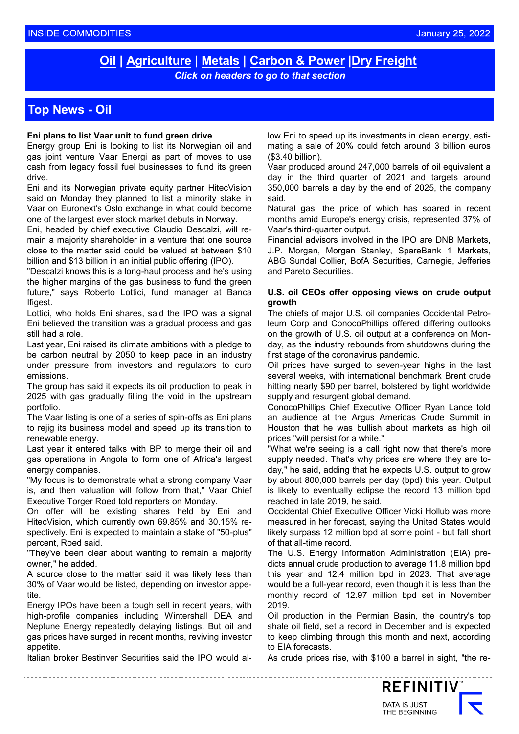# **[Oil](#page-0-0) | [Agriculture](#page-1-0) | [Metals](#page-1-0) | [Carbon & Power](#page-3-0) [|Dry Freight](#page-4-0)** *Click on headers to go to that section*

### <span id="page-0-0"></span>**Top News - Oil**

#### **Eni plans to list Vaar unit to fund green drive**

Energy group Eni is looking to list its Norwegian oil and gas joint venture Vaar Energi as part of moves to use cash from legacy fossil fuel businesses to fund its green drive.

Eni and its Norwegian private equity partner HitecVision said on Monday they planned to list a minority stake in Vaar on Euronext's Oslo exchange in what could become one of the largest ever stock market debuts in Norway.

Eni, headed by chief executive Claudio Descalzi, will remain a majority shareholder in a venture that one source close to the matter said could be valued at between \$10 billion and \$13 billion in an initial public offering (IPO).

"Descalzi knows this is a long-haul process and he's using the higher margins of the gas business to fund the green future," says Roberto Lottici, fund manager at Banca Ifigest.

Lottici, who holds Eni shares, said the IPO was a signal Eni believed the transition was a gradual process and gas still had a role.

Last year, Eni raised its climate ambitions with a pledge to be carbon neutral by 2050 to keep pace in an industry under pressure from investors and regulators to curb emissions.

The group has said it expects its oil production to peak in 2025 with gas gradually filling the void in the upstream portfolio.

The Vaar listing is one of a series of spin-offs as Eni plans to rejig its business model and speed up its transition to renewable energy.

Last year it entered talks with BP to merge their oil and gas operations in Angola to form one of Africa's largest energy companies.

"My focus is to demonstrate what a strong company Vaar is, and then valuation will follow from that," Vaar Chief Executive Torger Roed told reporters on Monday.

On offer will be existing shares held by Eni and HitecVision, which currently own 69.85% and 30.15% respectively. Eni is expected to maintain a stake of "50-plus" percent, Roed said.

"They've been clear about wanting to remain a majority owner," he added.

A source close to the matter said it was likely less than 30% of Vaar would be listed, depending on investor appetite.

Energy IPOs have been a tough sell in recent years, with high-profile companies including Wintershall DEA and Neptune Energy repeatedly delaying listings. But oil and gas prices have surged in recent months, reviving investor appetite.

Italian broker Bestinver Securities said the IPO would al-

low Eni to speed up its investments in clean energy, estimating a sale of 20% could fetch around 3 billion euros (\$3.40 billion).

Vaar produced around 247,000 barrels of oil equivalent a day in the third quarter of 2021 and targets around 350,000 barrels a day by the end of 2025, the company said.

Natural gas, the price of which has soared in recent months amid Europe's energy crisis, represented 37% of Vaar's third-quarter output.

Financial advisors involved in the IPO are DNB Markets, J.P. Morgan, Morgan Stanley, SpareBank 1 Markets, ABG Sundal Collier, BofA Securities, Carnegie, Jefferies and Pareto Securities.

#### **U.S. oil CEOs offer opposing views on crude output growth**

The chiefs of major U.S. oil companies Occidental Petroleum Corp and ConocoPhillips offered differing outlooks on the growth of U.S. oil output at a conference on Monday, as the industry rebounds from shutdowns during the first stage of the coronavirus pandemic.

Oil prices have surged to seven-year highs in the last several weeks, with international benchmark Brent crude hitting nearly \$90 per barrel, bolstered by tight worldwide supply and resurgent global demand.

ConocoPhillips Chief Executive Officer Ryan Lance told an audience at the Argus Americas Crude Summit in Houston that he was bullish about markets as high oil prices "will persist for a while."

"What we're seeing is a call right now that there's more supply needed. That's why prices are where they are today," he said, adding that he expects U.S. output to grow by about 800,000 barrels per day (bpd) this year. Output is likely to eventually eclipse the record 13 million bpd reached in late 2019, he said.

Occidental Chief Executive Officer Vicki Hollub was more measured in her forecast, saying the United States would likely surpass 12 million bpd at some point - but fall short of that all-time record.

The U.S. Energy Information Administration (EIA) predicts annual crude production to average 11.8 million bpd this year and 12.4 million bpd in 2023. That average would be a full-year record, even though it is less than the monthly record of 12.97 million bpd set in November 2019.

Oil production in the Permian Basin, the country's top shale oil field, set a record in December and is expected to keep climbing through this month and next, according to EIA forecasts.

As crude prices rise, with \$100 a barrel in sight, "the re-

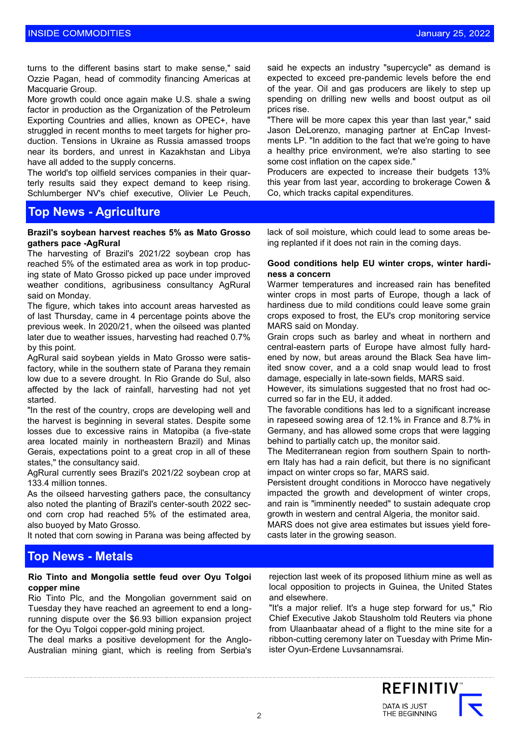<span id="page-1-0"></span>turns to the different basins start to make sense," said Ozzie Pagan, head of commodity financing Americas at Macquarie Group.

More growth could once again make U.S. shale a swing factor in production as the Organization of the Petroleum Exporting Countries and allies, known as OPEC+, have struggled in recent months to meet targets for higher production. Tensions in Ukraine as Russia amassed troops near its borders, and unrest in Kazakhstan and Libya have all added to the supply concerns.

The world's top oilfield services companies in their quarterly results said they expect demand to keep rising. Schlumberger NV's chief executive, Olivier Le Peuch,

# **Top News - Agriculture**

### **Brazil's soybean harvest reaches 5% as Mato Grosso gathers pace -AgRural**

The harvesting of Brazil's 2021/22 soybean crop has reached 5% of the estimated area as work in top producing state of Mato Grosso picked up pace under improved weather conditions, agribusiness consultancy AgRural said on Monday.

The figure, which takes into account areas harvested as of last Thursday, came in 4 percentage points above the previous week. In 2020/21, when the oilseed was planted later due to weather issues, harvesting had reached 0.7% by this point.

AgRural said soybean yields in Mato Grosso were satisfactory, while in the southern state of Parana they remain low due to a severe drought. In Rio Grande do Sul, also affected by the lack of rainfall, harvesting had not yet started.

"In the rest of the country, crops are developing well and the harvest is beginning in several states. Despite some losses due to excessive rains in Matopiba (a five-state area located mainly in northeastern Brazil) and Minas Gerais, expectations point to a great crop in all of these states," the consultancy said.

AgRural currently sees Brazil's 2021/22 soybean crop at 133.4 million tonnes.

As the oilseed harvesting gathers pace, the consultancy also noted the planting of Brazil's center-south 2022 second corn crop had reached 5% of the estimated area, also buoyed by Mato Grosso.

It noted that corn sowing in Parana was being affected by

# **Top News - Metals**

### **Rio Tinto and Mongolia settle feud over Oyu Tolgoi copper mine**

Rio Tinto Plc, and the Mongolian government said on Tuesday they have reached an agreement to end a longrunning dispute over the \$6.93 billion expansion project for the Oyu Tolgoi copper-gold mining project.

The deal marks a positive development for the Anglo-Australian mining giant, which is reeling from Serbia's

said he expects an industry "supercycle" as demand is expected to exceed pre-pandemic levels before the end of the year. Oil and gas producers are likely to step up spending on drilling new wells and boost output as oil prices rise.

"There will be more capex this year than last year," said Jason DeLorenzo, managing partner at EnCap Investments LP. "In addition to the fact that we're going to have a healthy price environment, we're also starting to see some cost inflation on the capex side."

Producers are expected to increase their budgets 13% this year from last year, according to brokerage Cowen & Co, which tracks capital expenditures.

lack of soil moisture, which could lead to some areas being replanted if it does not rain in the coming days.

### **Good conditions help EU winter crops, winter hardiness a concern**

Warmer temperatures and increased rain has benefited winter crops in most parts of Europe, though a lack of hardiness due to mild conditions could leave some grain crops exposed to frost, the EU's crop monitoring service MARS said on Monday.

Grain crops such as barley and wheat in northern and central-eastern parts of Europe have almost fully hardened by now, but areas around the Black Sea have limited snow cover, and a a cold snap would lead to frost damage, especially in late-sown fields, MARS said.

However, its simulations suggested that no frost had occurred so far in the EU, it added.

The favorable conditions has led to a significant increase in rapeseed sowing area of 12.1% in France and 8.7% in Germany, and has allowed some crops that were lagging behind to partially catch up, the monitor said.

The Mediterranean region from southern Spain to northern Italy has had a rain deficit, but there is no significant impact on winter crops so far, MARS said.

Persistent drought conditions in Morocco have negatively impacted the growth and development of winter crops, and rain is "imminently needed" to sustain adequate crop growth in western and central Algeria, the monitor said.

MARS does not give area estimates but issues yield forecasts later in the growing season.

rejection last week of its proposed lithium mine as well as local opposition to projects in Guinea, the United States and elsewhere.

"It's a major relief. It's a huge step forward for us," Rio Chief Executive Jakob Stausholm told Reuters via phone from Ulaanbaatar ahead of a flight to the mine site for a ribbon-cutting ceremony later on Tuesday with Prime Minister Oyun-Erdene Luvsannamsrai.

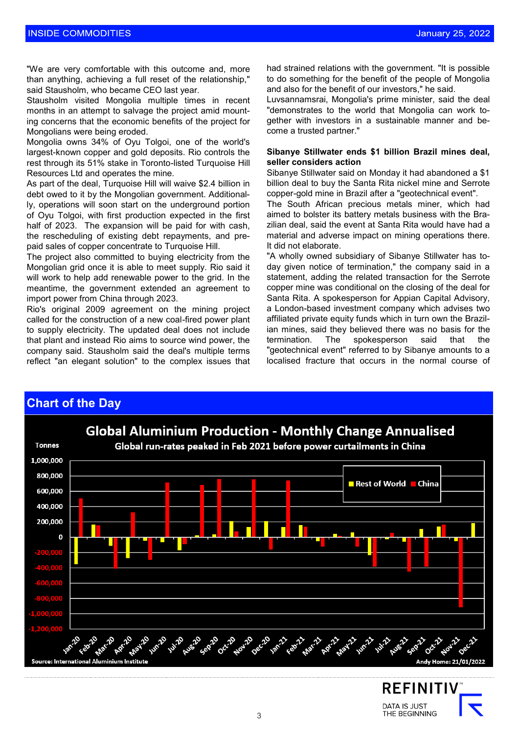"We are very comfortable with this outcome and, more than anything, achieving a full reset of the relationship," said Stausholm, who became CEO last year.

Stausholm visited Mongolia multiple times in recent months in an attempt to salvage the project amid mounting concerns that the economic benefits of the project for Mongolians were being eroded.

Mongolia owns 34% of Oyu Tolgoi, one of the world's largest-known copper and gold deposits. Rio controls the rest through its 51% stake in Toronto-listed Turquoise Hill Resources Ltd and operates the mine.

As part of the deal, Turquoise Hill will waive \$2.4 billion in debt owed to it by the Mongolian government. Additionally, operations will soon start on the underground portion of Oyu Tolgoi, with first production expected in the first half of 2023. The expansion will be paid for with cash, the rescheduling of existing debt repayments, and prepaid sales of copper concentrate to Turquoise Hill.

The project also committed to buying electricity from the Mongolian grid once it is able to meet supply. Rio said it will work to help add renewable power to the grid. In the meantime, the government extended an agreement to import power from China through 2023.

Rio's original 2009 agreement on the mining project called for the construction of a new coal-fired power plant to supply electricity. The updated deal does not include that plant and instead Rio aims to source wind power, the company said. Stausholm said the deal's multiple terms reflect "an elegant solution" to the complex issues that had strained relations with the government. "It is possible to do something for the benefit of the people of Mongolia and also for the benefit of our investors," he said.

Luvsannamsrai, Mongolia's prime minister, said the deal "demonstrates to the world that Mongolia can work together with investors in a sustainable manner and become a trusted partner."

#### **Sibanye Stillwater ends \$1 billion Brazil mines deal, seller considers action**

Sibanye Stillwater said on Monday it had abandoned a \$1 billion deal to buy the Santa Rita nickel mine and Serrote copper-gold mine in Brazil after a "geotechnical event".

The South African precious metals miner, which had aimed to bolster its battery metals business with the Brazilian deal, said the event at Santa Rita would have had a material and adverse impact on mining operations there. It did not elaborate.

"A wholly owned subsidiary of Sibanye Stillwater has today given notice of termination," the company said in a statement, adding the related transaction for the Serrote copper mine was conditional on the closing of the deal for Santa Rita. A spokesperson for Appian Capital Advisory, a London-based investment company which advises two affiliated private equity funds which in turn own the Brazilian mines, said they believed there was no basis for the termination. The spokesperson said that the "geotechnical event" referred to by Sibanye amounts to a localised fracture that occurs in the normal course of



# **REFINITIV DATA IS JUST** THE REGINNING

# **Chart of the Day**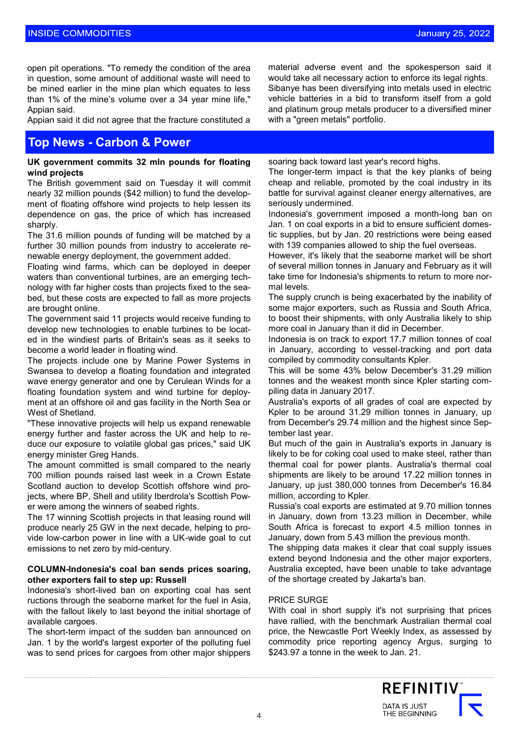<span id="page-3-0"></span>open pit operations. "To remedy the condition of the area in question, some amount of additional waste will need to be mined earlier in the mine plan which equates to less than 1% of the mine's volume over a 34 year mine life," Appian said.

Appian said it did not agree that the fracture constituted a

### **Top News - Carbon & Power**

#### **UK government commits 32 mln pounds for floating wind projects**

The British government said on Tuesday it will commit nearly 32 million pounds (\$42 million) to fund the development of floating offshore wind projects to help lessen its dependence on gas, the price of which has increased sharply.

The 31.6 million pounds of funding will be matched by a further 30 million pounds from industry to accelerate renewable energy deployment, the government added.

Floating wind farms, which can be deployed in deeper waters than conventional turbines, are an emerging technology with far higher costs than projects fixed to the seabed, but these costs are expected to fall as more projects are brought online.

The government said 11 projects would receive funding to develop new technologies to enable turbines to be located in the windiest parts of Britain's seas as it seeks to become a world leader in floating wind.

The projects include one by Marine Power Systems in Swansea to develop a floating foundation and integrated wave energy generator and one by Cerulean Winds for a floating foundation system and wind turbine for deployment at an offshore oil and gas facility in the North Sea or West of Shetland.

"These innovative projects will help us expand renewable energy further and faster across the UK and help to reduce our exposure to volatile global gas prices," said UK energy minister Greg Hands.

The amount committed is small compared to the nearly 700 million pounds raised last week in a Crown Estate Scotland auction to develop Scottish offshore wind projects, where BP, Shell and utility Iberdrola's Scottish Power were among the winners of seabed rights.

The 17 winning Scottish projects in that leasing round will produce nearly 25 GW in the next decade, helping to provide low-carbon power in line with a UK-wide goal to cut emissions to net zero by mid-century.

#### **COLUMN-Indonesia's coal ban sends prices soaring, other exporters fail to step up: Russell**

Indonesia's short-lived ban on exporting coal has sent ructions through the seaborne market for the fuel in Asia, with the fallout likely to last beyond the initial shortage of available cargoes.

The short-term impact of the sudden ban announced on Jan. 1 by the world's largest exporter of the polluting fuel was to send prices for cargoes from other major shippers

material adverse event and the spokesperson said it would take all necessary action to enforce its legal rights. Sibanye has been diversifying into metals used in electric vehicle batteries in a bid to transform itself from a gold and platinum group metals producer to a diversified miner with a "green metals" portfolio.

soaring back toward last year's record highs.

The longer-term impact is that the key planks of being cheap and reliable, promoted by the coal industry in its battle for survival against cleaner energy alternatives, are seriously undermined.

Indonesia's government imposed a month-long ban on Jan. 1 on coal exports in a bid to ensure sufficient domestic supplies, but by Jan. 20 restrictions were being eased with 139 companies allowed to ship the fuel overseas.

However, it's likely that the seaborne market will be short of several million tonnes in January and February as it will take time for Indonesia's shipments to return to more normal levels.

The supply crunch is being exacerbated by the inability of some major exporters, such as Russia and South Africa, to boost their shipments, with only Australia likely to ship more coal in January than it did in December.

Indonesia is on track to export 17.7 million tonnes of coal in January, according to vessel-tracking and port data compiled by commodity consultants Kpler.

This will be some 43% below December's 31.29 million tonnes and the weakest month since Kpler starting compiling data in January 2017.

Australia's exports of all grades of coal are expected by Kpler to be around 31.29 million tonnes in January, up from December's 29.74 million and the highest since September last year.

But much of the gain in Australia's exports in January is likely to be for coking coal used to make steel, rather than thermal coal for power plants. Australia's thermal coal shipments are likely to be around 17.22 million tonnes in January, up just 380,000 tonnes from December's 16.84 million, according to Kpler.

Russia's coal exports are estimated at 9.70 million tonnes in January, down from 13.23 million in December, while South Africa is forecast to export 4.5 million tonnes in January, down from 5.43 million the previous month.

The shipping data makes it clear that coal supply issues extend beyond Indonesia and the other major exporters, Australia excepted, have been unable to take advantage of the shortage created by Jakarta's ban.

### PRICE SURGE

With coal in short supply it's not surprising that prices have rallied, with the benchmark Australian thermal coal price, the Newcastle Port Weekly Index, as assessed by commodity price reporting agency Argus, surging to \$243.97 a tonne in the week to Jan. 21.

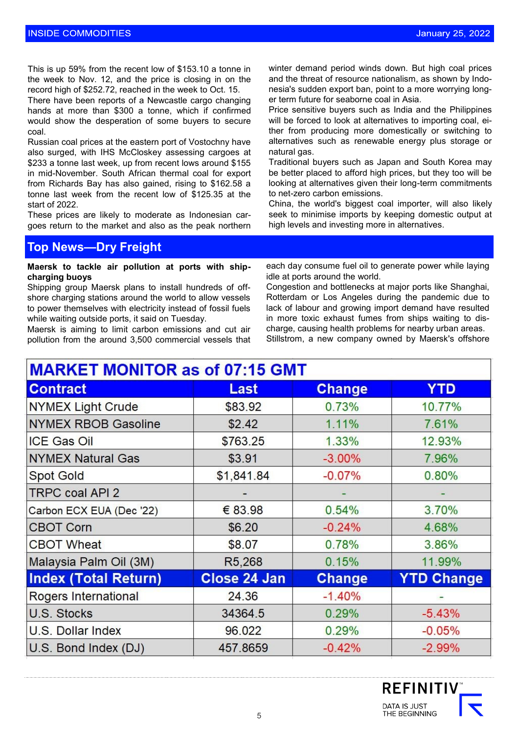<span id="page-4-0"></span>This is up 59% from the recent low of \$153.10 a tonne in the week to Nov. 12, and the price is closing in on the record high of \$252.72, reached in the week to Oct. 15.

There have been reports of a Newcastle cargo changing hands at more than \$300 a tonne, which if confirmed would show the desperation of some buyers to secure coal.

Russian coal prices at the eastern port of Vostochny have also surged, with IHS McCloskey assessing cargoes at \$233 a tonne last week, up from recent lows around \$155 in mid-November. South African thermal coal for export from Richards Bay has also gained, rising to \$162.58 a tonne last week from the recent low of \$125.35 at the start of 2022.

These prices are likely to moderate as Indonesian cargoes return to the market and also as the peak northern winter demand period winds down. But high coal prices and the threat of resource nationalism, as shown by Indonesia's sudden export ban, point to a more worrying longer term future for seaborne coal in Asia.

Price sensitive buyers such as India and the Philippines will be forced to look at alternatives to importing coal, either from producing more domestically or switching to alternatives such as renewable energy plus storage or natural gas.

Traditional buyers such as Japan and South Korea may be better placed to afford high prices, but they too will be looking at alternatives given their long-term commitments to net-zero carbon emissions.

China, the world's biggest coal importer, will also likely seek to minimise imports by keeping domestic output at high levels and investing more in alternatives.

### **Top News—Dry Freight**

**Maersk to tackle air pollution at ports with shipcharging buoys**

Shipping group Maersk plans to install hundreds of offshore charging stations around the world to allow vessels to power themselves with electricity instead of fossil fuels while waiting outside ports, it said on Tuesday.

Maersk is aiming to limit carbon emissions and cut air pollution from the around 3,500 commercial vessels that each day consume fuel oil to generate power while laying idle at ports around the world.

Congestion and bottlenecks at major ports like Shanghai, Rotterdam or Los Angeles during the pandemic due to lack of labour and growing import demand have resulted in more toxic exhaust fumes from ships waiting to discharge, causing health problems for nearby urban areas. Stillstrom, a new company owned by Maersk's offshore

| <b>MARKET MONITOR as of 07:15 GMT</b> |                     |               |                   |
|---------------------------------------|---------------------|---------------|-------------------|
| <b>Contract</b>                       | Last                | <b>Change</b> | <b>YTD</b>        |
| <b>NYMEX Light Crude</b>              | \$83.92             | 0.73%         | 10.77%            |
| <b>NYMEX RBOB Gasoline</b>            | \$2.42              | 1.11%         | 7.61%             |
| <b>ICE Gas Oil</b>                    | \$763.25            | 1.33%         | 12.93%            |
| <b>NYMEX Natural Gas</b>              | \$3.91              | $-3.00%$      | 7.96%             |
| Spot Gold                             | \$1,841.84          | $-0.07%$      | 0.80%             |
| <b>TRPC coal API 2</b>                |                     |               |                   |
| Carbon ECX EUA (Dec '22)              | € 83.98             | 0.54%         | 3.70%             |
| <b>CBOT Corn</b>                      | \$6.20              | $-0.24%$      | 4.68%             |
| <b>CBOT Wheat</b>                     | \$8.07              | 0.78%         | 3.86%             |
| Malaysia Palm Oil (3M)                | R <sub>5</sub> ,268 | 0.15%         | 11.99%            |
| <b>Index (Total Return)</b>           | Close 24 Jan        | <b>Change</b> | <b>YTD Change</b> |
| Rogers International                  | 24.36               | $-1.40%$      |                   |
| U.S. Stocks                           | 34364.5             | 0.29%         | $-5.43%$          |
| U.S. Dollar Index                     | 96.022              | 0.29%         | $-0.05%$          |
| U.S. Bond Index (DJ)                  | 457.8659            | $-0.42%$      | $-2.99%$          |

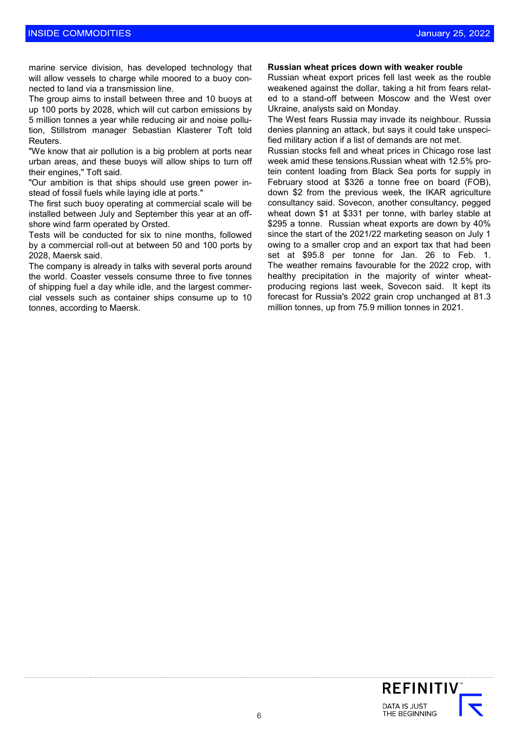marine service division, has developed technology that will allow vessels to charge while moored to a buoy connected to land via a transmission line.

The group aims to install between three and 10 buoys at up 100 ports by 2028, which will cut carbon emissions by 5 million tonnes a year while reducing air and noise pollution, Stillstrom manager Sebastian Klasterer Toft told Reuters.

"We know that air pollution is a big problem at ports near urban areas, and these buoys will allow ships to turn off their engines," Toft said.

"Our ambition is that ships should use green power instead of fossil fuels while laying idle at ports."

The first such buoy operating at commercial scale will be installed between July and September this year at an offshore wind farm operated by Orsted.

Tests will be conducted for six to nine months, followed by a commercial roll-out at between 50 and 100 ports by 2028, Maersk said.

The company is already in talks with several ports around the world. Coaster vessels consume three to five tonnes of shipping fuel a day while idle, and the largest commercial vessels such as container ships consume up to 10 tonnes, according to Maersk.

#### **Russian wheat prices down with weaker rouble**

Russian wheat export prices fell last week as the rouble weakened against the dollar, taking a hit from fears related to a stand-off between Moscow and the West over Ukraine, analysts said on Monday.

The West fears Russia may invade its neighbour. Russia denies planning an attack, but says it could take unspecified military action if a list of demands are not met.

Russian stocks fell and wheat prices in Chicago rose last week amid these tensions.Russian wheat with 12.5% protein content loading from Black Sea ports for supply in February stood at \$326 a tonne free on board (FOB), down \$2 from the previous week, the IKAR agriculture consultancy said. Sovecon, another consultancy, pegged wheat down \$1 at \$331 per tonne, with barley stable at \$295 a tonne. Russian wheat exports are down by 40% since the start of the 2021/22 marketing season on July 1 owing to a smaller crop and an export tax that had been set at \$95.8 per tonne for Jan. 26 to Feb. 1. The weather remains favourable for the 2022 crop, with healthy precipitation in the majority of winter wheatproducing regions last week, Sovecon said. It kept its forecast for Russia's 2022 grain crop unchanged at 81.3 million tonnes, up from 75.9 million tonnes in 2021.